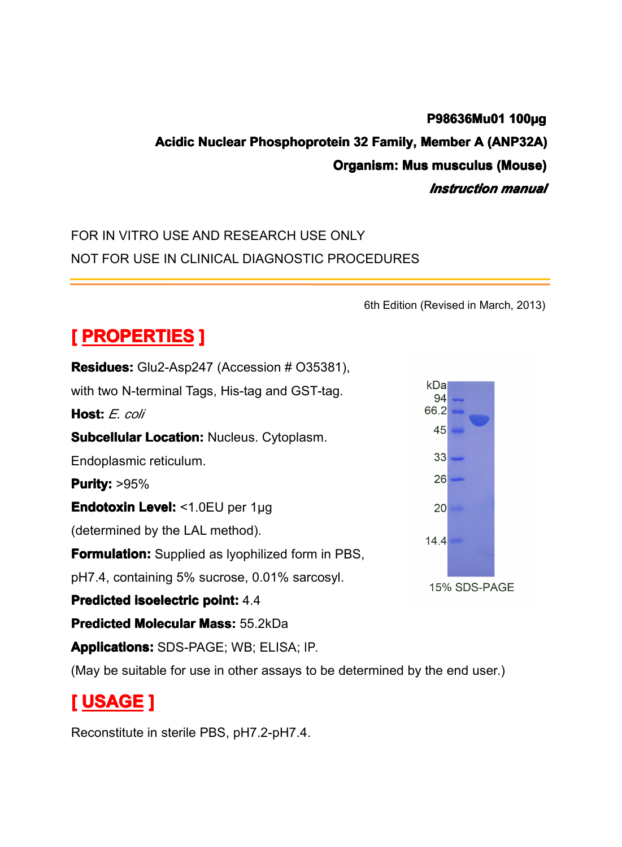## **P98636Mu01 100µg<br>|ember A (ANP32A)<br>| musculus (Mouse)<br>|** *Instruction manua* P98636Mu01 100µg<br>Acidic Nuclear Phosphoprotein 32 Family, Member A (ANP32A)<br>Organism: Mus musculus (Mouse)<br>*Instruction manual*<br>FOR IN VITRO USE AND RESEARCH USE ONLY **Organism: Mus musculus (Mouse)**<br> *Instruction manual*<br>
E ONLY

## *Instruction Instruction manual*

## FOR IN VITRO USE AND RESEARCH USE ONLY<br>NOT FOR USE IN CLINICAL DIAGNOSTIC PROC NOT FOR USE IN CLINICAL DIAGNOSTIC PROCEDURES

6th Edition (Revised in March, 2013)<br>5381), **[ PROPERTIES** ]<br>**Residues:** Glu2-Asp24<br>with two N-terminal Tag<br>**Host:** *E. coli*<br>Subcellular Location: **Residues:** Glu2-Asp247 (Accession # O35381),<br>with two N-terminal Tags, His-tag and GST-tag.<br>**Host:** E. coli<br>**Subcellular Location:** Nucleus. Cytoplasm.<br>Endoplasmic reticulum. with two N-terminal Tags, His-tag and GST-tag.<br> **Host:** E. coli<br> **Subcellular Location:** Nucleus. Cytoplasm.<br>
Endoplasmic reticulum. **Host:** *E. coli*<br>**Subcellular**<br>Endoplasmic<br>**Purity:** >95% **Subcellular Location:** Nucleus. Cytoplasm.<br> **Endoplasmic reticulum.**<br> **Purity:** >95%<br> **Endotoxin Level:** <1.0EU per 1µg<br>
(determined by the LAL method). Endotoxin Level: <1.0EU per 1uq **Purity: Purity:**>95% **Endotoxin Level:** <1.0EU per 1µg<br>(determined by the LAL method).<br>**Formulation:** Supplied as lyophiliz<br>pH7.4, containing 5% sucrose, 0.0 (determined by the LAL method).<br> **Formulation:** Supplied as lyophi<br>
pH7.4, containing 5% sucrose, 0<br> **Predicted isoelectric point:** 4.4 **Formulation:**Supplied as lyophilized form in PBS,<br>pH7.4, containing 5% sucrose, 0.01% sarcosyl.<br>**Predicted isoelectric point:** 4.4<br>**Predicted Molecular Mass:** 55.2kDa pH7.4, containing 5% sucrose, 0.01% sarcosyl.<br>**Predicted isoelectric point:** 4.4<br>**Predicted Molecular Mass:** 55.2kDa **Predicted isoelectric point:** 4.4<br>**Predicted Molecular Mass:** 55.1<br>**Applications:** SDS-PAGE; WB;<br>(May be suitable for use in other) **Predicted Molecular Mass:** 55.2kDa<br>**Applications:** SDS-PAGE; WB; ELIS<br>(May be suitable for use in other assa **Applications:** SDS-PAGE; WB; ELISA; IP.<br>(May be suitable for use in other assays to<br>**[ USAGE ]**<br>Reconstitute in sterile PBS nH7 2-nH7 4

(May be suitable for use in other assays to be determined by the end user.)<br>  $\blacksquare$ 

# **[ USAGE ]**

Reconstitute in sterile PBS, pH7.2-pH7.4.